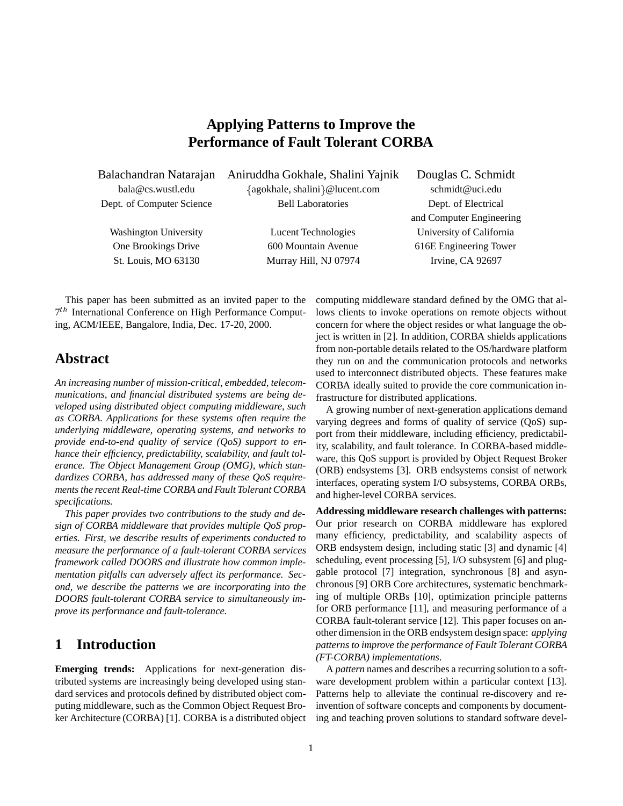# **Applying Patterns to Improve the Performance of Fault Tolerant CORBA**

Balachandran Natarajan Aniruddha Gokhale, Shalini Yajnik Douglas C. Schmidt bala@cs.wustl.edu {agokhale, shalini}@lucent.com schmidt@uci.edu Dept. of Computer Science Bell Laboratories Dept. of Electrical

St. Louis, MO 63130 Murray Hill, NJ 07974 Irvine, CA 92697

and Computer Engineering Washington University Lucent Technologies University of California One Brookings Drive 600 Mountain Avenue 616E Engineering Tower

This paper has been submitted as an invited paper to the 7th International Conference on High Performance Computing, ACM/IEEE, Bangalore, India, Dec. 17-20, 2000.

# **Abstract**

*An increasing number of mission-critical, embedded, telecommunications, and financial distributed systems are being developed using distributed object computing middleware, such as CORBA. Applications for these systems often require the underlying middleware, operating systems, and networks to provide end-to-end quality of service (QoS) support to enhance their efficiency, predictability, scalability, and fault tolerance. The Object Management Group (OMG), which standardizes CORBA, has addressed many of these QoS requirements the recent Real-time CORBA and Fault Tolerant CORBA specifications.*

*This paper provides two contributions to the study and design of CORBA middleware that provides multiple QoS properties. First, we describe results of experiments conducted to measure the performance of a fault-tolerant CORBA services framework called DOORS and illustrate how common implementation pitfalls can adversely affect its performance. Second, we describe the patterns we are incorporating into the DOORS fault-tolerant CORBA service to simultaneously improve its performance and fault-tolerance.*

## **1 Introduction**

**Emerging trends:** Applications for next-generation distributed systems are increasingly being developed using standard services and protocols defined by distributed object computing middleware, such as the Common Object Request Broker Architecture (CORBA) [1]. CORBA is a distributed object computing middleware standard defined by the OMG that allows clients to invoke operations on remote objects without concern for where the object resides or what language the object is written in [2]. In addition, CORBA shields applications from non-portable details related to the OS/hardware platform they run on and the communication protocols and networks used to interconnect distributed objects. These features make CORBA ideally suited to provide the core communication infrastructure for distributed applications.

A growing number of next-generation applications demand varying degrees and forms of quality of service (QoS) support from their middleware, including efficiency, predictability, scalability, and fault tolerance. In CORBA-based middleware, this QoS support is provided by Object Request Broker (ORB) endsystems [3]. ORB endsystems consist of network interfaces, operating system I/O subsystems, CORBA ORBs, and higher-level CORBA services.

**Addressing middleware research challenges with patterns:** Our prior research on CORBA middleware has explored many efficiency, predictability, and scalability aspects of ORB endsystem design, including static [3] and dynamic [4] scheduling, event processing [5], I/O subsystem [6] and pluggable protocol [7] integration, synchronous [8] and asynchronous [9] ORB Core architectures, systematic benchmarking of multiple ORBs [10], optimization principle patterns for ORB performance [11], and measuring performance of a CORBA fault-tolerant service [12]. This paper focuses on another dimension in the ORB endsystem design space: *applying patterns to improve the performance of Fault Tolerant CORBA (FT-CORBA) implementations*.

A *pattern* names and describes a recurring solution to a software development problem within a particular context [13]. Patterns help to alleviate the continual re-discovery and reinvention of software concepts and components by documenting and teaching proven solutions to standard software devel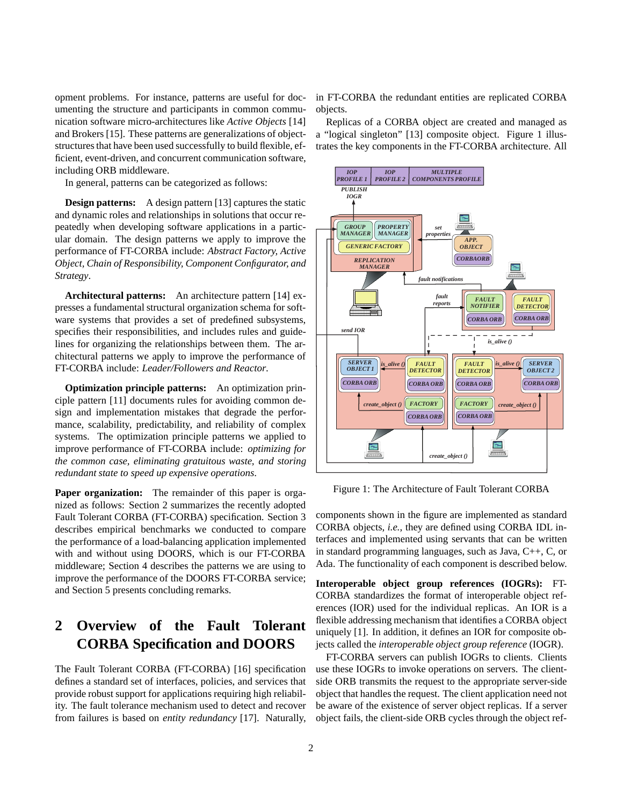opment problems. For instance, patterns are useful for documenting the structure and participants in common communication software micro-architectures like *Active Objects* [14] and Brokers [15]. These patterns are generalizations of objectstructures that have been used successfully to build flexible, efficient, event-driven, and concurrent communication software, including ORB middleware.

In general, patterns can be categorized as follows:

**Design patterns:** A design pattern [13] captures the static and dynamic roles and relationships in solutions that occur repeatedly when developing software applications in a particular domain. The design patterns we apply to improve the performance of FT-CORBA include: *Abstract Factory, Active Object, Chain of Responsibility, Component Configurator, and Strategy*.

**Architectural patterns:** An architecture pattern [14] expresses a fundamental structural organization schema for software systems that provides a set of predefined subsystems, specifies their responsibilities, and includes rules and guidelines for organizing the relationships between them. The architectural patterns we apply to improve the performance of FT-CORBA include: *Leader/Followers and Reactor*.

**Optimization principle patterns:** An optimization principle pattern [11] documents rules for avoiding common design and implementation mistakes that degrade the performance, scalability, predictability, and reliability of complex systems. The optimization principle patterns we applied to improve performance of FT-CORBA include: *optimizing for the common case, eliminating gratuitous waste, and storing redundant state to speed up expensive operations*.

**Paper organization:** The remainder of this paper is organized as follows: Section 2 summarizes the recently adopted Fault Tolerant CORBA (FT-CORBA) specification. Section 3 describes empirical benchmarks we conducted to compare the performance of a load-balancing application implemented with and without using DOORS, which is our FT-CORBA middleware; Section 4 describes the patterns we are using to improve the performance of the DOORS FT-CORBA service; and Section 5 presents concluding remarks.

# **2 Overview of the Fault Tolerant CORBA Specification and DOORS**

The Fault Tolerant CORBA (FT-CORBA) [16] specification defines a standard set of interfaces, policies, and services that provide robust support for applications requiring high reliability. The fault tolerance mechanism used to detect and recover from failures is based on *entity redundancy* [17]. Naturally, in FT-CORBA the redundant entities are replicated CORBA objects.

Replicas of a CORBA object are created and managed as a "logical singleton" [13] composite object. Figure 1 illustrates the key components in the FT-CORBA architecture. All



Figure 1: The Architecture of Fault Tolerant CORBA

components shown in the figure are implemented as standard CORBA objects, *i.e.*, they are defined using CORBA IDL interfaces and implemented using servants that can be written in standard programming languages, such as Java, C++, C, or Ada. The functionality of each component is described below.

**Interoperable object group references (IOGRs):** FT-CORBA standardizes the format of interoperable object references (IOR) used for the individual replicas. An IOR is a flexible addressing mechanism that identifies a CORBA object uniquely [1]. In addition, it defines an IOR for composite objects called the *interoperable object group reference* (IOGR).

FT-CORBA servers can publish IOGRs to clients. Clients use these IOGRs to invoke operations on servers. The clientside ORB transmits the request to the appropriate server-side object that handles the request. The client application need not be aware of the existence of server object replicas. If a server object fails, the client-side ORB cycles through the object ref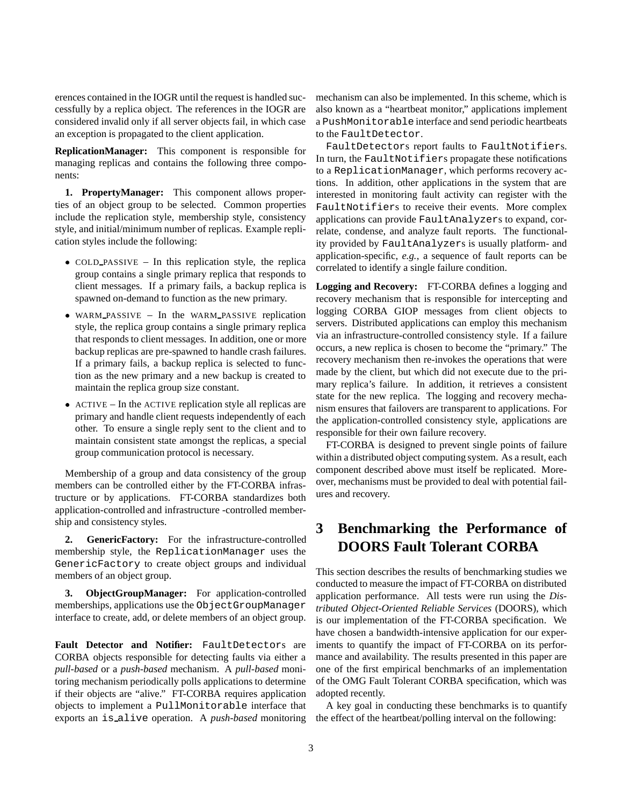erences contained in the IOGR until the request is handled successfully by a replica object. The references in the IOGR are considered invalid only if all server objects fail, in which case an exception is propagated to the client application.

**ReplicationManager:** This component is responsible for managing replicas and contains the following three components:

**1. PropertyManager:** This component allows properties of an object group to be selected. Common properties include the replication style, membership style, consistency style, and initial/minimum number of replicas. Example replication styles include the following:

- COLD PASSIVE In this replication style, the replica group contains a single primary replica that responds to client messages. If a primary fails, a backup replica is spawned on-demand to function as the new primary.
- WARM PASSIVE In the WARM PASSIVE replication style, the replica group contains a single primary replica that responds to client messages. In addition, one or more backup replicas are pre-spawned to handle crash failures. If a primary fails, a backup replica is selected to function as the new primary and a new backup is created to maintain the replica group size constant.
- $\bullet$  ACTIVE In the ACTIVE replication style all replicas are primary and handle client requests independently of each other. To ensure a single reply sent to the client and to maintain consistent state amongst the replicas, a special group communication protocol is necessary.

Membership of a group and data consistency of the group members can be controlled either by the FT-CORBA infrastructure or by applications. FT-CORBA standardizes both application-controlled and infrastructure -controlled membership and consistency styles.

**2. GenericFactory:** For the infrastructure-controlled membership style, the ReplicationManager uses the GenericFactory to create object groups and individual members of an object group.

**3. ObjectGroupManager:** For application-controlled memberships, applications use the ObjectGroupManager interface to create, add, or delete members of an object group.

**Fault Detector and Notifier:** FaultDetectors are CORBA objects responsible for detecting faults via either a *pull-based* or a *push-based* mechanism. A *pull-based* monitoring mechanism periodically polls applications to determine if their objects are "alive." FT-CORBA requires application objects to implement a PullMonitorable interface that exports an is alive operation. A *push-based* monitoring mechanism can also be implemented. In this scheme, which is also known as a "heartbeat monitor," applications implement a PushMonitorable interface and send periodic heartbeats to the FaultDetector.

FaultDetectors report faults to FaultNotifiers. In turn, the FaultNotifiers propagate these notifications to a ReplicationManager, which performs recovery actions. In addition, other applications in the system that are interested in monitoring fault activity can register with the FaultNotifiers to receive their events. More complex applications can provide FaultAnalyzers to expand, correlate, condense, and analyze fault reports. The functionality provided by FaultAnalyzers is usually platform- and application-specific, *e.g.*, a sequence of fault reports can be correlated to identify a single failure condition.

**Logging and Recovery:** FT-CORBA defines a logging and recovery mechanism that is responsible for intercepting and logging CORBA GIOP messages from client objects to servers. Distributed applications can employ this mechanism via an infrastructure-controlled consistency style. If a failure occurs, a new replica is chosen to become the "primary." The recovery mechanism then re-invokes the operations that were made by the client, but which did not execute due to the primary replica's failure. In addition, it retrieves a consistent state for the new replica. The logging and recovery mechanism ensures that failovers are transparent to applications. For the application-controlled consistency style, applications are responsible for their own failure recovery.

FT-CORBA is designed to prevent single points of failure within a distributed object computing system. As a result, each component described above must itself be replicated. Moreover, mechanisms must be provided to deal with potential failures and recovery.

# **3 Benchmarking the Performance of DOORS Fault Tolerant CORBA**

This section describes the results of benchmarking studies we conducted to measure the impact of FT-CORBA on distributed application performance. All tests were run using the *Distributed Object-Oriented Reliable Services* (DOORS), which is our implementation of the FT-CORBA specification. We have chosen a bandwidth-intensive application for our experiments to quantify the impact of FT-CORBA on its performance and availability. The results presented in this paper are one of the first empirical benchmarks of an implementation of the OMG Fault Tolerant CORBA specification, which was adopted recently.

A key goal in conducting these benchmarks is to quantify the effect of the heartbeat/polling interval on the following: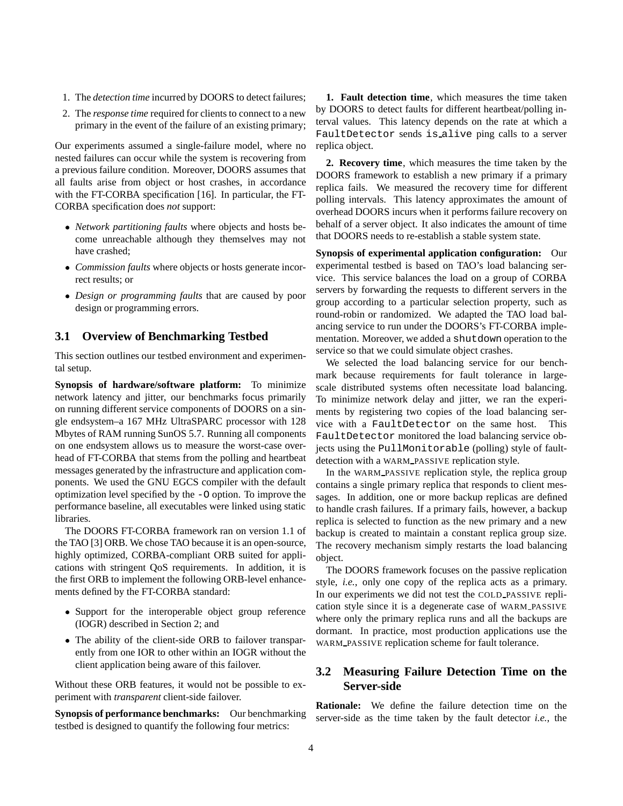- 1. The *detection time* incurred by DOORS to detect failures;
- 2. The *response time* required for clients to connect to a new primary in the event of the failure of an existing primary;

Our experiments assumed a single-failure model, where no nested failures can occur while the system is recovering from a previous failure condition. Moreover, DOORS assumes that all faults arise from object or host crashes, in accordance with the FT-CORBA specification [16]. In particular, the FT-CORBA specification does *not* support:

- *Network partitioning faults* where objects and hosts become unreachable although they themselves may not have crashed;
- *Commission faults* where objects or hosts generate incorrect results; or
- *Design or programming faults* that are caused by poor design or programming errors.

#### **3.1 Overview of Benchmarking Testbed**

This section outlines our testbed environment and experimental setup.

**Synopsis of hardware/software platform:** To minimize network latency and jitter, our benchmarks focus primarily on running different service components of DOORS on a single endsystem–a 167 MHz UltraSPARC processor with 128 Mbytes of RAM running SunOS 5.7. Running all components on one endsystem allows us to measure the worst-case overhead of FT-CORBA that stems from the polling and heartbeat messages generated by the infrastructure and application components. We used the GNU EGCS compiler with the default optimization level specified by the -O option. To improve the performance baseline, all executables were linked using static libraries.

The DOORS FT-CORBA framework ran on version 1.1 of the TAO [3] ORB. We chose TAO because it is an open-source, highly optimized, CORBA-compliant ORB suited for applications with stringent QoS requirements. In addition, it is the first ORB to implement the following ORB-level enhancements defined by the FT-CORBA standard:

- Support for the interoperable object group reference (IOGR) described in Section 2; and
- The ability of the client-side ORB to failover transparently from one IOR to other within an IOGR without the client application being aware of this failover.

Without these ORB features, it would not be possible to experiment with *transparent* client-side failover.

**Synopsis of performance benchmarks:** Our benchmarking testbed is designed to quantify the following four metrics:

**1. Fault detection time**, which measures the time taken by DOORS to detect faults for different heartbeat/polling interval values. This latency depends on the rate at which a FaultDetector sends is alive ping calls to a server replica object.

**2. Recovery time**, which measures the time taken by the DOORS framework to establish a new primary if a primary replica fails. We measured the recovery time for different polling intervals. This latency approximates the amount of overhead DOORS incurs when it performs failure recovery on behalf of a server object. It also indicates the amount of time that DOORS needs to re-establish a stable system state.

**Synopsis of experimental application configuration:** Our experimental testbed is based on TAO's load balancing service. This service balances the load on a group of CORBA servers by forwarding the requests to different servers in the group according to a particular selection property, such as round-robin or randomized. We adapted the TAO load balancing service to run under the DOORS's FT-CORBA implementation. Moreover, we added a shutdown operation to the service so that we could simulate object crashes.

We selected the load balancing service for our benchmark because requirements for fault tolerance in largescale distributed systems often necessitate load balancing. To minimize network delay and jitter, we ran the experiments by registering two copies of the load balancing service with a FaultDetector on the same host. This FaultDetector monitored the load balancing service objects using the PullMonitorable (polling) style of faultdetection with a WARM PASSIVE replication style.

In the WARM PASSIVE replication style, the replica group contains a single primary replica that responds to client messages. In addition, one or more backup replicas are defined to handle crash failures. If a primary fails, however, a backup replica is selected to function as the new primary and a new backup is created to maintain a constant replica group size. The recovery mechanism simply restarts the load balancing object.

The DOORS framework focuses on the passive replication style, *i.e.*, only one copy of the replica acts as a primary. In our experiments we did not test the COLD PASSIVE replication style since it is a degenerate case of WARM PASSIVE where only the primary replica runs and all the backups are dormant. In practice, most production applications use the WARM PASSIVE replication scheme for fault tolerance.

#### **3.2 Measuring Failure Detection Time on the Server-side**

**Rationale:** We define the failure detection time on the server-side as the time taken by the fault detector *i.e.*, the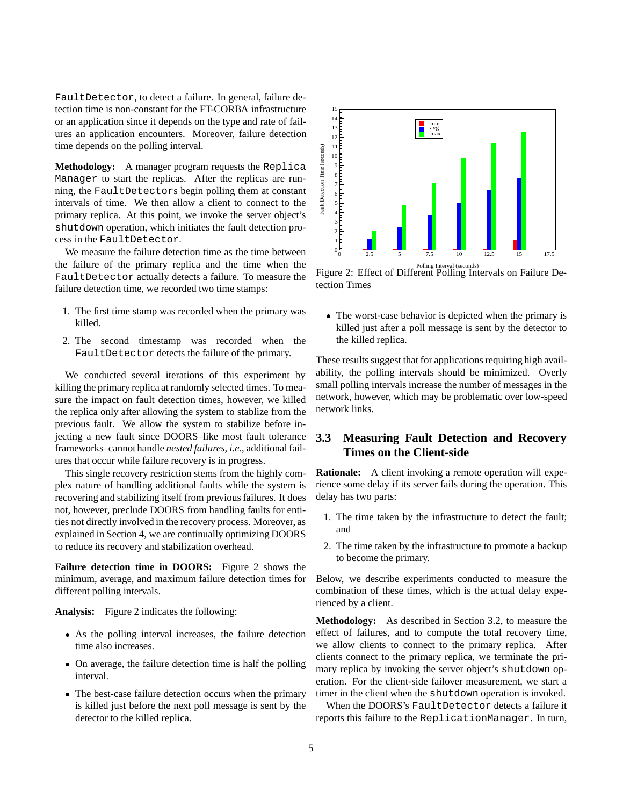FaultDetector, to detect a failure. In general, failure detection time is non-constant for the FT-CORBA infrastructure or an application since it depends on the type and rate of failures an application encounters. Moreover, failure detection time depends on the polling interval.

**Methodology:** A manager program requests the Replica Manager to start the replicas. After the replicas are running, the FaultDetectors begin polling them at constant intervals of time. We then allow a client to connect to the primary replica. At this point, we invoke the server object's shutdown operation, which initiates the fault detection process in the FaultDetector.

We measure the failure detection time as the time between the failure of the primary replica and the time when the FaultDetector actually detects a failure. To measure the failure detection time, we recorded two time stamps:

- 1. The first time stamp was recorded when the primary was killed.
- 2. The second timestamp was recorded when the FaultDetector detects the failure of the primary.

We conducted several iterations of this experiment by killing the primary replica at randomly selected times. To measure the impact on fault detection times, however, we killed the replica only after allowing the system to stablize from the previous fault. We allow the system to stabilize before injecting a new fault since DOORS–like most fault tolerance frameworks–cannot handle *nested failures*, *i.e.*, additional failures that occur while failure recovery is in progress.

This single recovery restriction stems from the highly complex nature of handling additional faults while the system is recovering and stabilizing itself from previous failures. It does not, however, preclude DOORS from handling faults for entities not directly involved in the recovery process. Moreover, as explained in Section 4, we are continually optimizing DOORS to reduce its recovery and stabilization overhead.

**Failure detection time in DOORS:** Figure 2 shows the minimum, average, and maximum failure detection times for different polling intervals.

**Analysis:** Figure 2 indicates the following:

- As the polling interval increases, the failure detection time also increases.
- On average, the failure detection time is half the polling interval.
- The best-case failure detection occurs when the primary is killed just before the next poll message is sent by the detector to the killed replica.



Polling Interval (seconds)<br>Figure 2: Effect of Different Polling Intervals on Failure Detection Times

 The worst-case behavior is depicted when the primary is killed just after a poll message is sent by the detector to the killed replica.

These results suggest that for applications requiring high availability, the polling intervals should be minimized. Overly small polling intervals increase the number of messages in the network, however, which may be problematic over low-speed network links.

#### **3.3 Measuring Fault Detection and Recovery Times on the Client-side**

**Rationale:** A client invoking a remote operation will experience some delay if its server fails during the operation. This delay has two parts:

- 1. The time taken by the infrastructure to detect the fault; and
- 2. The time taken by the infrastructure to promote a backup to become the primary.

Below, we describe experiments conducted to measure the combination of these times, which is the actual delay experienced by a client.

**Methodology:** As described in Section 3.2, to measure the effect of failures, and to compute the total recovery time, we allow clients to connect to the primary replica. After clients connect to the primary replica, we terminate the primary replica by invoking the server object's shutdown operation. For the client-side failover measurement, we start a timer in the client when the shutdown operation is invoked.

When the DOORS's FaultDetector detects a failure it reports this failure to the ReplicationManager. In turn,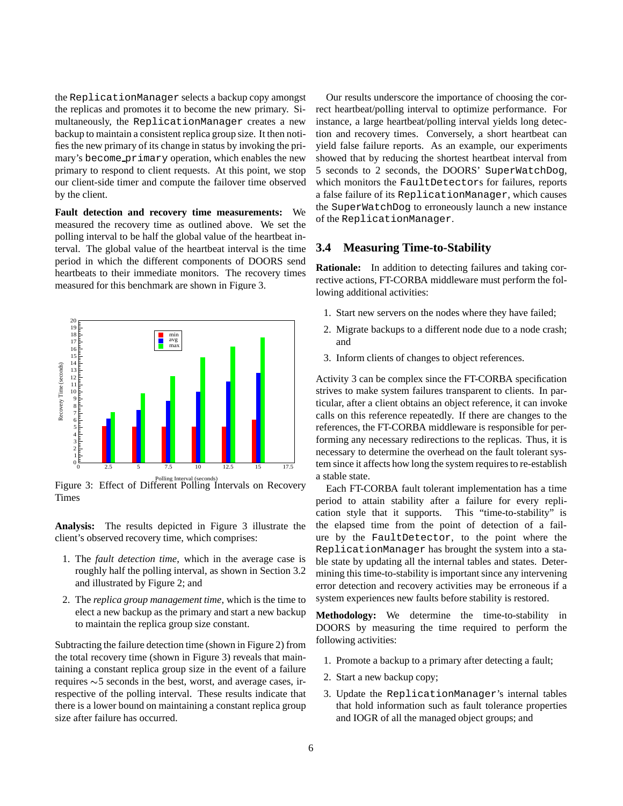the ReplicationManager selects a backup copy amongst the replicas and promotes it to become the new primary. Simultaneously, the ReplicationManager creates a new backup to maintain a consistent replica group size. It then notifies the new primary of its change in status by invoking the primary's become primary operation, which enables the new primary to respond to client requests. At this point, we stop our client-side timer and compute the failover time observed by the client.

**Fault detection and recovery time measurements:** We measured the recovery time as outlined above. We set the polling interval to be half the global value of the heartbeat interval. The global value of the heartbeat interval is the time period in which the different components of DOORS send heartbeats to their immediate monitors. The recovery times measured for this benchmark are shown in Figure 3.



Figure 3: Effect of Different Polling Intervals on Recovery Times

**Analysis:** The results depicted in Figure 3 illustrate the client's observed recovery time, which comprises:

- 1. The *fault detection time*, which in the average case is roughly half the polling interval, as shown in Section 3.2 and illustrated by Figure 2; and
- 2. The *replica group management time*, which is the time to elect a new backup as the primary and start a new backup to maintain the replica group size constant.

Subtracting the failure detection time (shown in Figure 2) from the total recovery time (shown in Figure 3) reveals that maintaining a constant replica group size in the event of a failure requires  $\sim$  5 seconds in the best, worst, and average cases, irrespective of the polling interval. These results indicate that there is a lower bound on maintaining a constant replica group size after failure has occurred.

Our results underscore the importance of choosing the correct heartbeat/polling interval to optimize performance. For instance, a large heartbeat/polling interval yields long detection and recovery times. Conversely, a short heartbeat can yield false failure reports. As an example, our experiments showed that by reducing the shortest heartbeat interval from 5 seconds to 2 seconds, the DOORS' SuperWatchDog, which monitors the FaultDetectors for failures, reports a false failure of its ReplicationManager, which causes the SuperWatchDog to erroneously launch a new instance of the ReplicationManager.

#### **3.4 Measuring Time-to-Stability**

**Rationale:** In addition to detecting failures and taking corrective actions, FT-CORBA middleware must perform the following additional activities:

- 1. Start new servers on the nodes where they have failed;
- 2. Migrate backups to a different node due to a node crash; and
- 3. Inform clients of changes to object references.

Activity 3 can be complex since the FT-CORBA specification strives to make system failures transparent to clients. In particular, after a client obtains an object reference, it can invoke calls on this reference repeatedly. If there are changes to the references, the FT-CORBA middleware is responsible for performing any necessary redirections to the replicas. Thus, it is necessary to determine the overhead on the fault tolerant system since it affects how long the system requires to re-establish a stable state.

Each FT-CORBA fault tolerant implementation has a time period to attain stability after a failure for every replication style that it supports. This "time-to-stability" is the elapsed time from the point of detection of a failure by the FaultDetector, to the point where the ReplicationManager has brought the system into a stable state by updating all the internal tables and states. Determining this time-to-stability is important since any intervening error detection and recovery activities may be erroneous if a system experiences new faults before stability is restored.

**Methodology:** We determine the time-to-stability in DOORS by measuring the time required to perform the following activities:

- 1. Promote a backup to a primary after detecting a fault;
- 2. Start a new backup copy;
- 3. Update the ReplicationManager's internal tables that hold information such as fault tolerance properties and IOGR of all the managed object groups; and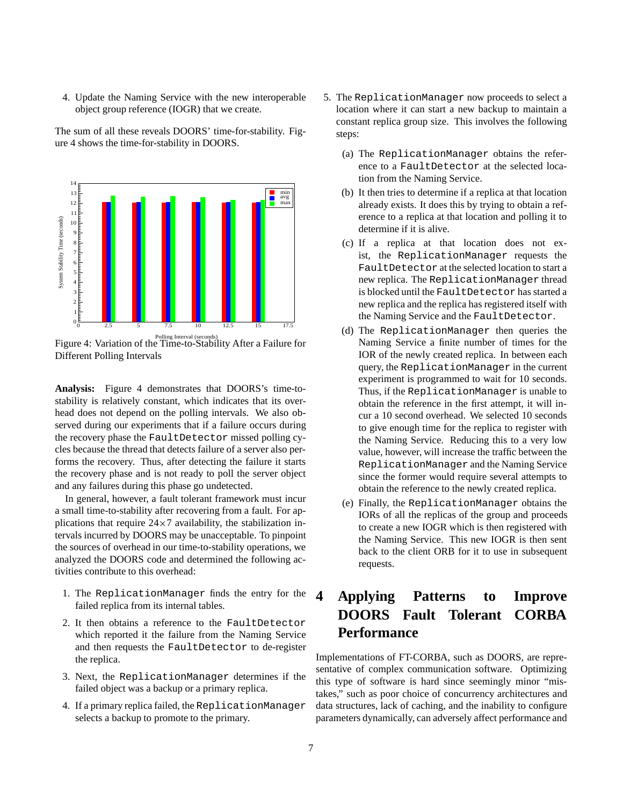4. Update the Naming Service with the new interoperable object group reference (IOGR) that we create.



The sum of all these reveals DOORS' time-for-stability. Figure 4 shows the time-for-stability in DOORS.

Polling Interval (seconds) Figure 4: Variation of the Time-to-Stability After a Failure for Different Polling Intervals

**Analysis:** Figure 4 demonstrates that DOORS's time-tostability is relatively constant, which indicates that its overhead does not depend on the polling intervals. We also observed during our experiments that if a failure occurs during the recovery phase the FaultDetector missed polling cycles because the thread that detects failure of a server also performs the recovery. Thus, after detecting the failure it starts the recovery phase and is not ready to poll the server object and any failures during this phase go undetected.

In general, however, a fault tolerant framework must incur a small time-to-stability after recovering from a fault. For applications that require  $24\times7$  availability, the stabilization intervals incurred by DOORS may be unacceptable. To pinpoint the sources of overhead in our time-to-stability operations, we analyzed the DOORS code and determined the following activities contribute to this overhead:

- 1. The ReplicationManager finds the entry for the failed replica from its internal tables.
- 2. It then obtains a reference to the FaultDetector which reported it the failure from the Naming Service and then requests the FaultDetector to de-register the replica.
- 3. Next, the ReplicationManager determines if the failed object was a backup or a primary replica.
- 4. If a primary replica failed, the ReplicationManager selects a backup to promote to the primary.
- 5. The ReplicationManager now proceeds to select a location where it can start a new backup to maintain a constant replica group size. This involves the following steps:
	- (a) The ReplicationManager obtains the reference to a FaultDetector at the selected location from the Naming Service.
	- (b) It then tries to determine if a replica at that location already exists. It does this by trying to obtain a reference to a replica at that location and polling it to determine if it is alive.
	- (c) If a replica at that location does not exist, the ReplicationManager requests the FaultDetector at the selected location to start a new replica. The ReplicationManager thread is blocked until the FaultDetector has started a new replica and the replica has registered itself with the Naming Service and the FaultDetector.
	- (d) The ReplicationManager then queries the Naming Service a finite number of times for the IOR of the newly created replica. In between each query, the ReplicationManager in the current experiment is programmed to wait for 10 seconds. Thus, if the ReplicationManager is unable to obtain the reference in the first attempt, it will incur a 10 second overhead. We selected 10 seconds to give enough time for the replica to register with the Naming Service. Reducing this to a very low value, however, will increase the traffic between the ReplicationManager and the Naming Service since the former would require several attempts to obtain the reference to the newly created replica.
	- (e) Finally, the ReplicationManager obtains the IORs of all the replicas of the group and proceeds to create a new IOGR which is then registered with the Naming Service. This new IOGR is then sent back to the client ORB for it to use in subsequent requests.

# **4 Applying Patterns to Improve DOORS Fault Tolerant CORBA Performance**

Implementations of FT-CORBA, such as DOORS, are representative of complex communication software. Optimizing this type of software is hard since seemingly minor "mistakes," such as poor choice of concurrency architectures and data structures, lack of caching, and the inability to configure parameters dynamically, can adversely affect performance and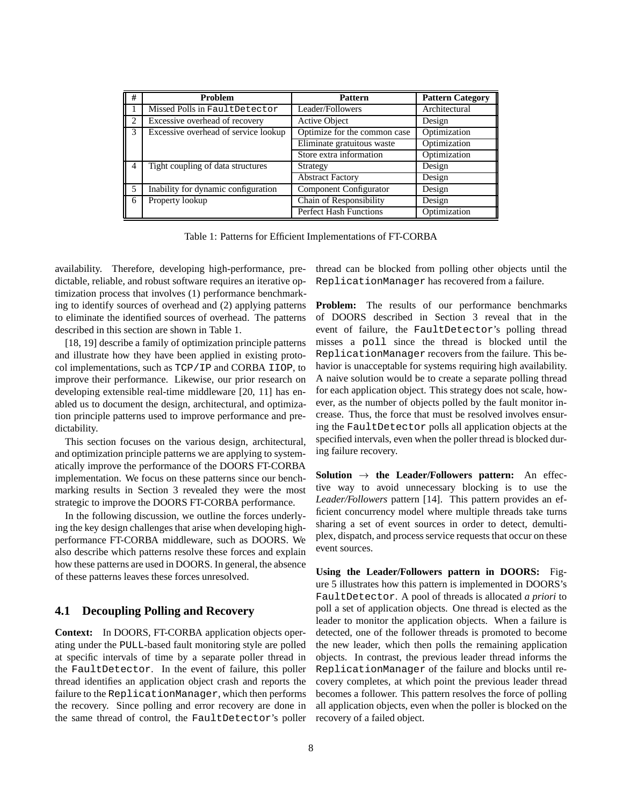| #              | <b>Problem</b>                       | <b>Pattern</b>                | <b>Pattern Category</b> |
|----------------|--------------------------------------|-------------------------------|-------------------------|
|                | Missed Polls in FaultDetector        | Leader/Followers              | Architectural           |
| 2              | Excessive overhead of recovery       | <b>Active Object</b>          | Design                  |
| 3              | Excessive overhead of service lookup | Optimize for the common case  | Optimization            |
|                |                                      | Eliminate gratuitous waste    | Optimization            |
|                |                                      | Store extra information       | Optimization            |
| $\overline{4}$ | Tight coupling of data structures    | Strategy                      | Design                  |
|                |                                      | <b>Abstract Factory</b>       | Design                  |
| 5              | Inability for dynamic configuration  | <b>Component Configurator</b> | Design                  |
| 6              | Property lookup                      | Chain of Responsibility       | Design                  |
|                |                                      | <b>Perfect Hash Functions</b> | Optimization            |

Table 1: Patterns for Efficient Implementations of FT-CORBA

availability. Therefore, developing high-performance, predictable, reliable, and robust software requires an iterative optimization process that involves (1) performance benchmarking to identify sources of overhead and (2) applying patterns to eliminate the identified sources of overhead. The patterns described in this section are shown in Table 1.

[18, 19] describe a family of optimization principle patterns and illustrate how they have been applied in existing protocol implementations, such as TCP/IP and CORBA IIOP, to improve their performance. Likewise, our prior research on developing extensible real-time middleware [20, 11] has enabled us to document the design, architectural, and optimization principle patterns used to improve performance and predictability.

This section focuses on the various design, architectural, and optimization principle patterns we are applying to systematically improve the performance of the DOORS FT-CORBA implementation. We focus on these patterns since our benchmarking results in Section 3 revealed they were the most strategic to improve the DOORS FT-CORBA performance.

In the following discussion, we outline the forces underlying the key design challenges that arise when developing highperformance FT-CORBA middleware, such as DOORS. We also describe which patterns resolve these forces and explain how these patterns are used in DOORS. In general, the absence of these patterns leaves these forces unresolved.

#### **4.1 Decoupling Polling and Recovery**

**Context:** In DOORS, FT-CORBA application objects operating under the PULL-based fault monitoring style are polled at specific intervals of time by a separate poller thread in the FaultDetector. In the event of failure, this poller thread identifies an application object crash and reports the failure to the ReplicationManager, which then performs the recovery. Since polling and error recovery are done in the same thread of control, the FaultDetector's poller thread can be blocked from polling other objects until the ReplicationManager has recovered from a failure.

**Problem:** The results of our performance benchmarks of DOORS described in Section 3 reveal that in the event of failure, the FaultDetector's polling thread misses a poll since the thread is blocked until the ReplicationManager recovers from the failure. This behavior is unacceptable for systems requiring high availability. A naive solution would be to create a separate polling thread for each application object. This strategy does not scale, however, as the number of objects polled by the fault monitor increase. Thus, the force that must be resolved involves ensuring the FaultDetector polls all application objects at the specified intervals, even when the poller thread is blocked during failure recovery.

**Solution**  $\rightarrow$  the Leader/Followers pattern: An effective way to avoid unnecessary blocking is to use the *Leader/Followers* pattern [14]. This pattern provides an efficient concurrency model where multiple threads take turns sharing a set of event sources in order to detect, demultiplex, dispatch, and process service requests that occur on these event sources.

**Using the Leader/Followers pattern in DOORS:** Figure 5 illustrates how this pattern is implemented in DOORS's FaultDetector. A pool of threads is allocated *a priori* to poll a set of application objects. One thread is elected as the leader to monitor the application objects. When a failure is detected, one of the follower threads is promoted to become the new leader, which then polls the remaining application objects. In contrast, the previous leader thread informs the ReplicationManager of the failure and blocks until recovery completes, at which point the previous leader thread becomes a follower. This pattern resolves the force of polling all application objects, even when the poller is blocked on the recovery of a failed object.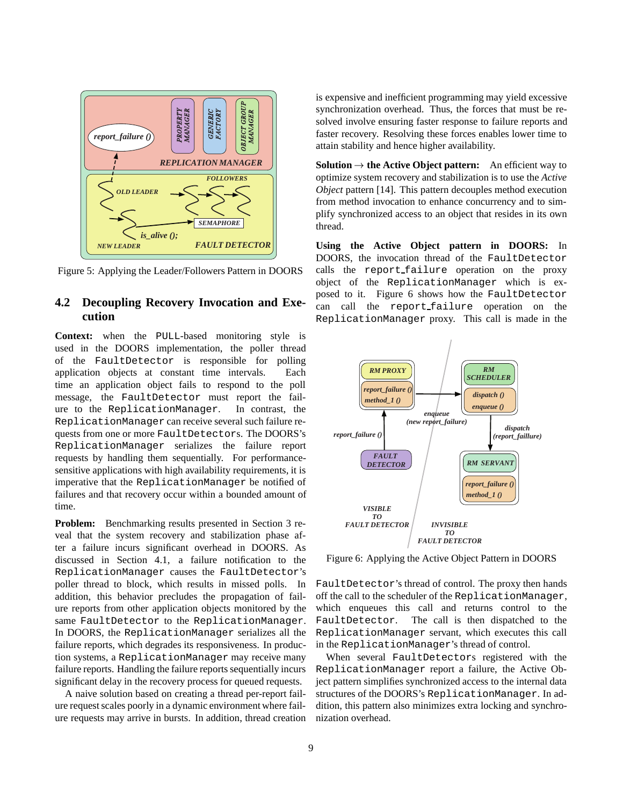



### **4.2 Decoupling Recovery Invocation and Execution**

**Context:** when the PULL-based monitoring style is used in the DOORS implementation, the poller thread of the FaultDetector is responsible for polling application objects at constant time intervals. Each time an application object fails to respond to the poll message, the FaultDetector must report the failure to the ReplicationManager. In contrast, the ReplicationManager can receive several such failure requests from one or more FaultDetectors. The DOORS's ReplicationManager serializes the failure report requests by handling them sequentially. For performancesensitive applications with high availability requirements, it is imperative that the ReplicationManager be notified of failures and that recovery occur within a bounded amount of time.

**Problem:** Benchmarking results presented in Section 3 reveal that the system recovery and stabilization phase after a failure incurs significant overhead in DOORS. As discussed in Section 4.1, a failure notification to the ReplicationManager causes the FaultDetector's poller thread to block, which results in missed polls. In addition, this behavior precludes the propagation of failure reports from other application objects monitored by the same FaultDetector to the ReplicationManager. In DOORS, the ReplicationManager serializes all the failure reports, which degrades its responsiveness. In production systems, a ReplicationManager may receive many failure reports. Handling the failure reports sequentially incurs significant delay in the recovery process for queued requests.

A naive solution based on creating a thread per-report failure request scales poorly in a dynamic environment where failure requests may arrive in bursts. In addition, thread creation is expensive and inefficient programming may yield excessive synchronization overhead. Thus, the forces that must be resolved involve ensuring faster response to failure reports and faster recovery. Resolving these forces enables lower time to attain stability and hence higher availability.

**Solution**  $\rightarrow$  the Active Object pattern: An efficient way to optimize system recovery and stabilization is to use the *Active Object* pattern [14]. This pattern decouples method execution from method invocation to enhance concurrency and to simplify synchronized access to an object that resides in its own thread.

**Using the Active Object pattern in DOORS:** In DOORS, the invocation thread of the FaultDetector calls the report failure operation on the proxy object of the ReplicationManager which is exposed to it. Figure 6 shows how the FaultDetector can call the report failure operation on the ReplicationManager proxy. This call is made in the



Figure 6: Applying the Active Object Pattern in DOORS

FaultDetector's thread of control. The proxy then hands off the call to the scheduler of the ReplicationManager, which enqueues this call and returns control to the FaultDetector. The call is then dispatched to the ReplicationManager servant, which executes this call in the ReplicationManager's thread of control.

When several FaultDetectors registered with the ReplicationManager report a failure, the Active Object pattern simplifies synchronized access to the internal data structures of the DOORS's ReplicationManager. In addition, this pattern also minimizes extra locking and synchronization overhead.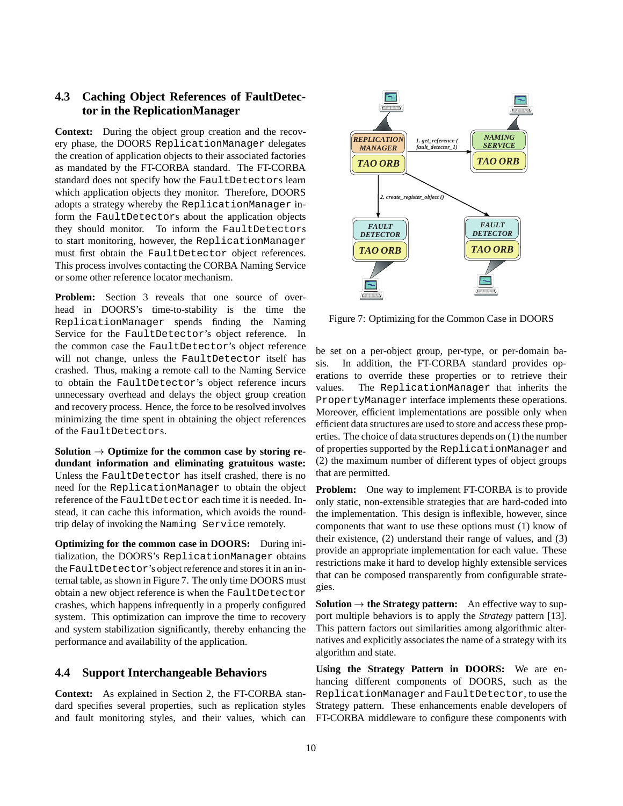#### **4.3 Caching Object References of FaultDetector in the ReplicationManager**

**Context:** During the object group creation and the recovery phase, the DOORS ReplicationManager delegates the creation of application objects to their associated factories as mandated by the FT-CORBA standard. The FT-CORBA standard does not specify how the FaultDetectors learn which application objects they monitor. Therefore, DOORS adopts a strategy whereby the ReplicationManager inform the FaultDetectors about the application objects they should monitor. To inform the FaultDetectors to start monitoring, however, the ReplicationManager must first obtain the FaultDetector object references. This process involves contacting the CORBA Naming Service or some other reference locator mechanism.

**Problem:** Section 3 reveals that one source of overhead in DOORS's time-to-stability is the time the ReplicationManager spends finding the Naming Service for the FaultDetector's object reference. In the common case the FaultDetector's object reference will not change, unless the FaultDetector itself has crashed. Thus, making a remote call to the Naming Service to obtain the FaultDetector's object reference incurs unnecessary overhead and delays the object group creation and recovery process. Hence, the force to be resolved involves minimizing the time spent in obtaining the object references of the FaultDetectors.

Solution  $\rightarrow$  Optimize for the common case by storing re**dundant information and eliminating gratuitous waste:** Unless the FaultDetector has itself crashed, there is no need for the ReplicationManager to obtain the object reference of the FaultDetector each time it is needed. Instead, it can cache this information, which avoids the roundtrip delay of invoking the Naming Service remotely.

**Optimizing for the common case in DOORS:** During initialization, the DOORS's ReplicationManager obtains the FaultDetector's object reference and stores it in an internal table, as shown in Figure 7. The only time DOORS must obtain a new object reference is when the FaultDetector crashes, which happens infrequently in a properly configured system. This optimization can improve the time to recovery and system stabilization significantly, thereby enhancing the performance and availability of the application.

#### **4.4 Support Interchangeable Behaviors**

**Context:** As explained in Section 2, the FT-CORBA standard specifies several properties, such as replication styles and fault monitoring styles, and their values, which can



Figure 7: Optimizing for the Common Case in DOORS

be set on a per-object group, per-type, or per-domain basis. In addition, the FT-CORBA standard provides operations to override these properties or to retrieve their values. The ReplicationManager that inherits the PropertyManager interface implements these operations. Moreover, efficient implementations are possible only when efficient data structures are used to store and access these properties. The choice of data structures depends on (1) the number of properties supported by the ReplicationManager and (2) the maximum number of different types of object groups that are permitted.

**Problem:** One way to implement FT-CORBA is to provide only static, non-extensible strategies that are hard-coded into the implementation. This design is inflexible, however, since components that want to use these options must (1) know of their existence, (2) understand their range of values, and (3) provide an appropriate implementation for each value. These restrictions make it hard to develop highly extensible services that can be composed transparently from configurable strategies.

**Solution**  $\rightarrow$  the Strategy pattern: An effective way to support multiple behaviors is to apply the *Strategy* pattern [13]. This pattern factors out similarities among algorithmic alternatives and explicitly associates the name of a strategy with its algorithm and state.

**Using the Strategy Pattern in DOORS:** We are enhancing different components of DOORS, such as the ReplicationManager and FaultDetector, to use the Strategy pattern. These enhancements enable developers of FT-CORBA middleware to configure these components with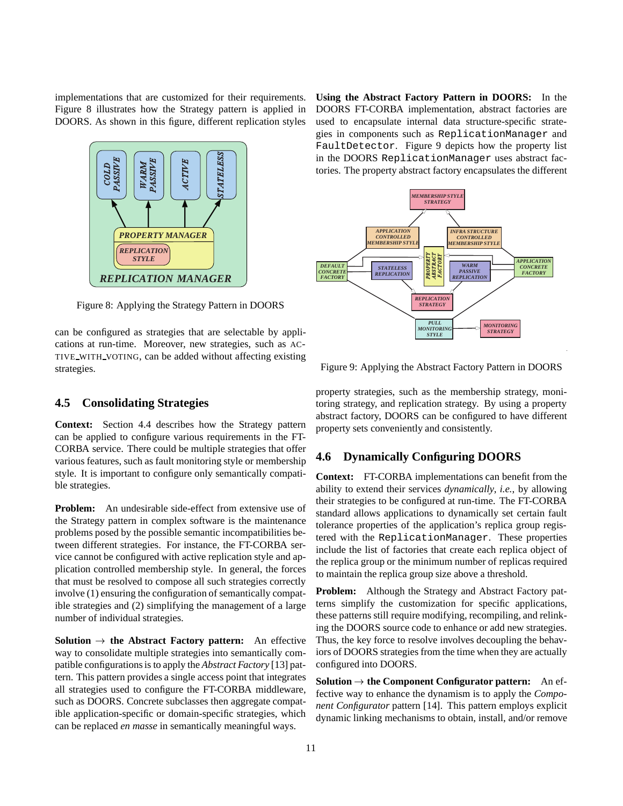implementations that are customized for their requirements. Figure 8 illustrates how the Strategy pattern is applied in DOORS. As shown in this figure, different replication styles



Figure 8: Applying the Strategy Pattern in DOORS

can be configured as strategies that are selectable by applications at run-time. Moreover, new strategies, such as AC-TIVE WITH VOTING, can be added without affecting existing strategies.

#### **4.5 Consolidating Strategies**

**Context:** Section 4.4 describes how the Strategy pattern can be applied to configure various requirements in the FT-CORBA service. There could be multiple strategies that offer various features, such as fault monitoring style or membership style. It is important to configure only semantically compatible strategies.

**Problem:** An undesirable side-effect from extensive use of the Strategy pattern in complex software is the maintenance problems posed by the possible semantic incompatibilities between different strategies. For instance, the FT-CORBA service cannot be configured with active replication style and application controlled membership style. In general, the forces that must be resolved to compose all such strategies correctly involve (1) ensuring the configuration of semantically compatible strategies and (2) simplifying the management of a large number of individual strategies.

**Solution**  $\rightarrow$  the Abstract Factory pattern: An effective way to consolidate multiple strategies into semantically compatible configurations is to apply the *Abstract Factory* [13] pattern. This pattern provides a single access point that integrates all strategies used to configure the FT-CORBA middleware, such as DOORS. Concrete subclasses then aggregate compatible application-specific or domain-specific strategies, which can be replaced *en masse* in semantically meaningful ways.

**Using the Abstract Factory Pattern in DOORS:** In the DOORS FT-CORBA implementation, abstract factories are used to encapsulate internal data structure-specific strategies in components such as ReplicationManager and FaultDetector. Figure 9 depicts how the property list in the DOORS ReplicationManager uses abstract factories. The property abstract factory encapsulates the different



Figure 9: Applying the Abstract Factory Pattern in DOORS

property strategies, such as the membership strategy, monitoring strategy, and replication strategy. By using a property abstract factory, DOORS can be configured to have different property sets conveniently and consistently.

#### **4.6 Dynamically Configuring DOORS**

**Context:** FT-CORBA implementations can benefit from the ability to extend their services *dynamically*, *i.e.*, by allowing their strategies to be configured at run-time. The FT-CORBA standard allows applications to dynamically set certain fault tolerance properties of the application's replica group registered with the ReplicationManager. These properties include the list of factories that create each replica object of the replica group or the minimum number of replicas required to maintain the replica group size above a threshold.

**Problem:** Although the Strategy and Abstract Factory patterns simplify the customization for specific applications, these patterns still require modifying, recompiling, and relinking the DOORS source code to enhance or add new strategies. Thus, the key force to resolve involves decoupling the behaviors of DOORS strategies from the time when they are actually configured into DOORS.

**Solution**  $\rightarrow$  **the Component Configurator pattern:** An effective way to enhance the dynamism is to apply the *Component Configurator* pattern [14]. This pattern employs explicit dynamic linking mechanisms to obtain, install, and/or remove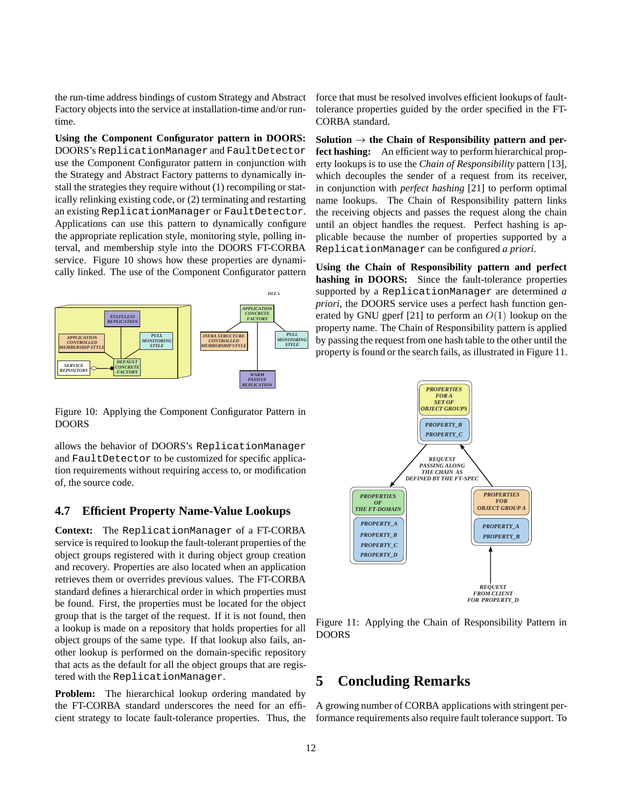the run-time address bindings of custom Strategy and Abstract Factory objects into the service at installation-time and/or runtime.

**Using the Component Configurator pattern in DOORS:** DOORS's ReplicationManager and FaultDetector use the Component Configurator pattern in conjunction with the Strategy and Abstract Factory patterns to dynamically install the strategies they require without (1) recompiling or statically relinking existing code, or (2) terminating and restarting an existing ReplicationManager or FaultDetector. Applications can use this pattern to dynamically configure the appropriate replication style, monitoring style, polling interval, and membership style into the DOORS FT-CORBA service. Figure 10 shows how these properties are dynamically linked. The use of the Component Configurator pattern



Figure 10: Applying the Component Configurator Pattern in DOORS

allows the behavior of DOORS's ReplicationManager and FaultDetector to be customized for specific application requirements without requiring access to, or modification of, the source code.

#### **4.7 Efficient Property Name-Value Lookups**

**Context:** The ReplicationManager of a FT-CORBA service is required to lookup the fault-tolerant properties of the object groups registered with it during object group creation and recovery. Properties are also located when an application retrieves them or overrides previous values. The FT-CORBA standard defines a hierarchical order in which properties must be found. First, the properties must be located for the object group that is the target of the request. If it is not found, then a lookup is made on a repository that holds properties for all object groups of the same type. If that lookup also fails, another lookup is performed on the domain-specific repository that acts as the default for all the object groups that are registered with the ReplicationManager.

**Problem:** The hierarchical lookup ordering mandated by the FT-CORBA standard underscores the need for an efficient strategy to locate fault-tolerance properties. Thus, the force that must be resolved involves efficient lookups of faulttolerance properties guided by the order specified in the FT-CORBA standard.

**Solution**  $\rightarrow$  the Chain of Responsibility pattern and per**fect hashing:** An efficient way to perform hierarchical property lookups is to use the *Chain of Responsibility* pattern [13], which decouples the sender of a request from its receiver, in conjunction with *perfect hashing* [21] to perform optimal name lookups. The Chain of Responsibility pattern links the receiving objects and passes the request along the chain until an object handles the request. Perfect hashing is applicable because the number of properties supported by a ReplicationManager can be configured *a priori*.

**Using the Chain of Responsibility pattern and perfect hashing in DOORS:** Since the fault-tolerance properties supported by a ReplicationManager are determined *a priori*, the DOORS service uses a perfect hash function generated by GNU gperf [21] to perform an  $O(1)$  lookup on the property name. The Chain of Responsibility pattern is applied by passing the request from one hash table to the other until the property is found or the search fails, as illustrated in Figure 11.



Figure 11: Applying the Chain of Responsibility Pattern in DOORS

### **5 Concluding Remarks**

A growing number of CORBA applications with stringent performance requirements also require fault tolerance support. To